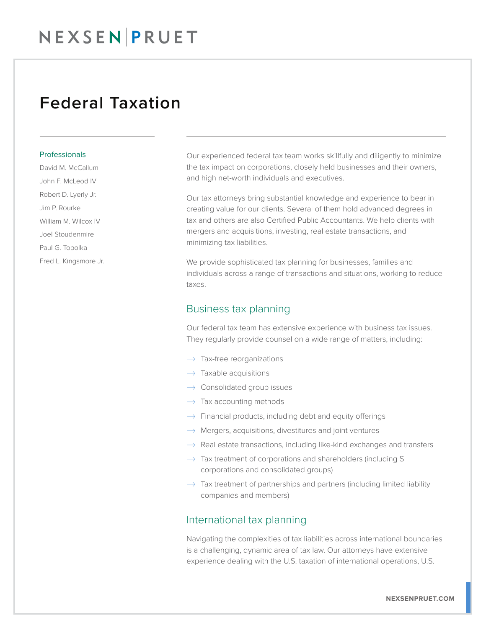## NEXSEN PRUET

### Federal Taxation

#### Professionals

David M. McCallum John F. McLeod IV Robert D. Lyerly Jr. Jim P. Rourke William M. Wilcox IV Joel Stoudenmire Paul G. Topolka Fred L. Kingsmore Jr. Our experienced federal tax team works skillfully and diligently to minimize the tax impact on corporations, closely held businesses and their owners, and high net-worth individuals and executives.

Our tax attorneys bring substantial knowledge and experience to bear in creating value for our clients. Several of them hold advanced degrees in tax and others are also Certified Public Accountants. We help clients with mergers and acquisitions, investing, real estate transactions, and minimizing tax liabilities.

We provide sophisticated tax planning for businesses, families and individuals across a range of transactions and situations, working to reduce taxes.

### Business tax planning

Our federal tax team has extensive experience with business tax issues. They regularly provide counsel on a wide range of matters, including:

- $\rightarrow$  Tax-free reorganizations
- $\rightarrow$  Taxable acquisitions
- $\rightarrow$  Consolidated group issues
- $\rightarrow$  Tax accounting methods
- $\rightarrow$  Financial products, including debt and equity offerings
- $\rightarrow$  Mergers, acquisitions, divestitures and joint ventures
- $\rightarrow$  Real estate transactions, including like-kind exchanges and transfers
- $\rightarrow$  Tax treatment of corporations and shareholders (including S) corporations and consolidated groups)
- $\rightarrow$  Tax treatment of partnerships and partners (including limited liability companies and members)

#### International tax planning

Navigating the complexities of tax liabilities across international boundaries is a challenging, dynamic area of tax law. Our attorneys have extensive experience dealing with the U.S. taxation of international operations, U.S.